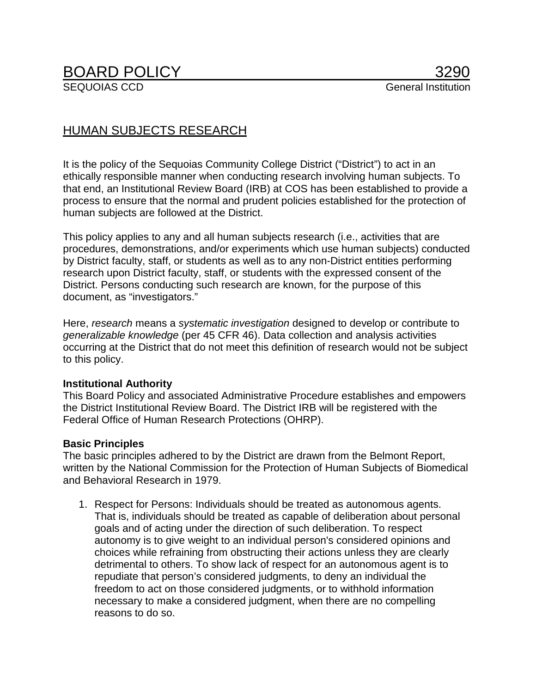## BOARD POLICY 3290

## HUMAN SUBJECTS RESEARCH

It is the policy of the Sequoias Community College District ("District") to act in an ethically responsible manner when conducting research involving human subjects. To that end, an Institutional Review Board (IRB) at COS has been established to provide a process to ensure that the normal and prudent policies established for the protection of human subjects are followed at the District.

This policy applies to any and all human subjects research (i.e., activities that are procedures, demonstrations, and/or experiments which use human subjects) conducted by District faculty, staff, or students as well as to any non-District entities performing research upon District faculty, staff, or students with the expressed consent of the District. Persons conducting such research are known, for the purpose of this document, as "investigators."

Here, *research* means a *systematic investigation* designed to develop or contribute to *generalizable knowledge* (per 45 CFR 46). Data collection and analysis activities occurring at the District that do not meet this definition of research would not be subject to this policy.

## **Institutional Authority**

This Board Policy and associated Administrative Procedure establishes and empowers the District Institutional Review Board. The District IRB will be registered with the Federal Office of Human Research Protections (OHRP).

## **Basic Principles**

The basic principles adhered to by the District are drawn from the Belmont Report, written by the National Commission for the Protection of Human Subjects of Biomedical and Behavioral Research in 1979.

1. Respect for Persons: Individuals should be treated as autonomous agents. That is, individuals should be treated as capable of deliberation about personal goals and of acting under the direction of such deliberation. To respect autonomy is to give weight to an individual person's considered opinions and choices while refraining from obstructing their actions unless they are clearly detrimental to others. To show lack of respect for an autonomous agent is to repudiate that person's considered judgments, to deny an individual the freedom to act on those considered judgments, or to withhold information necessary to make a considered judgment, when there are no compelling reasons to do so.